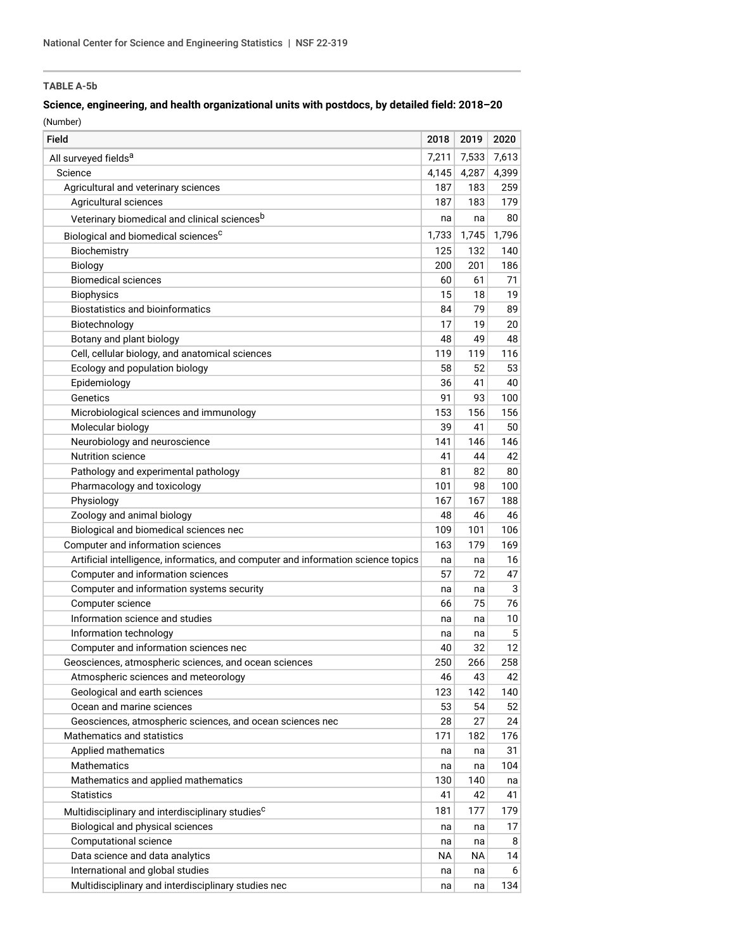## **TABLE A-5b**

# **Science, engineering, and health organizational units with postdocs, by detailed field: 2018–20**

(Number)

| Field                                                                             | 2018  | 2019  | 2020  |
|-----------------------------------------------------------------------------------|-------|-------|-------|
| All surveyed fields <sup>a</sup>                                                  | 7,211 | 7,533 | 7,613 |
| Science                                                                           | 4,145 | 4,287 | 4,399 |
| Agricultural and veterinary sciences                                              | 187   | 183   | 259   |
| Agricultural sciences                                                             | 187   | 183   | 179   |
| Veterinary biomedical and clinical sciences <sup>b</sup>                          | na    | na    | 80    |
| Biological and biomedical sciences <sup>c</sup>                                   | 1,733 | 1,745 | 1,796 |
| Biochemistry                                                                      | 125   | 132   | 140   |
| Biology                                                                           | 200   | 201   | 186   |
| <b>Biomedical sciences</b>                                                        | 60    | 61    | 71    |
| <b>Biophysics</b>                                                                 | 15    | 18    | 19    |
| <b>Biostatistics and bioinformatics</b>                                           | 84    | 79    | 89    |
| Biotechnology                                                                     | 17    | 19    | 20    |
| Botany and plant biology                                                          | 48    | 49    | 48    |
| Cell, cellular biology, and anatomical sciences                                   | 119   | 119   | 116   |
| Ecology and population biology                                                    | 58    | 52    | 53    |
| Epidemiology                                                                      | 36    | 41    | 40    |
| Genetics                                                                          | 91    | 93    | 100   |
| Microbiological sciences and immunology                                           | 153   | 156   | 156   |
| Molecular biology                                                                 | 39    | 41    | 50    |
| Neurobiology and neuroscience                                                     | 141   | 146   | 146   |
| <b>Nutrition science</b>                                                          | 41    | 44    | 42    |
| Pathology and experimental pathology                                              | 81    | 82    | 80    |
| Pharmacology and toxicology                                                       | 101   | 98    | 100   |
| Physiology                                                                        | 167   | 167   | 188   |
| Zoology and animal biology                                                        | 48    | 46    | 46    |
| Biological and biomedical sciences nec                                            | 109   | 101   | 106   |
| Computer and information sciences                                                 | 163   | 179   | 169   |
| Artificial intelligence, informatics, and computer and information science topics | na    | na    | 16    |
| Computer and information sciences                                                 | 57    | 72    | 47    |
| Computer and information systems security                                         | na    | na    | 3     |
| Computer science                                                                  | 66    | 75    | 76    |
| Information science and studies                                                   | na    | na    | 10    |
| Information technology                                                            | na    | na    | 5     |
| Computer and information sciences nec                                             | 40    | 32    | 12    |
| Geosciences, atmospheric sciences, and ocean sciences                             | 250   | 266   | 258   |
| Atmospheric sciences and meteorology                                              | 46    | 43    | 42    |
| Geological and earth sciences                                                     | 123   | 142   | 140   |
| Ocean and marine sciences                                                         | 53    | 54    | 52    |
| Geosciences, atmospheric sciences, and ocean sciences nec                         | 28    | 27    | 24    |
| Mathematics and statistics                                                        | 171   | 182   | 176   |
| Applied mathematics                                                               | na    | na    | 31    |
| Mathematics                                                                       | na    | na    | 104   |
| Mathematics and applied mathematics                                               | 130   | 140   | na    |
| <b>Statistics</b>                                                                 | 41    | 42    | 41    |
| Multidisciplinary and interdisciplinary studies <sup>c</sup>                      | 181   | 177   | 179   |
| Biological and physical sciences                                                  | na    | na    | 17    |
| Computational science                                                             | na    | na    | 8     |
| Data science and data analytics                                                   | ΝA    | NА    | 14    |
| International and global studies                                                  | na    | na    | 6     |
| Multidisciplinary and interdisciplinary studies nec                               | na    | na    | 134   |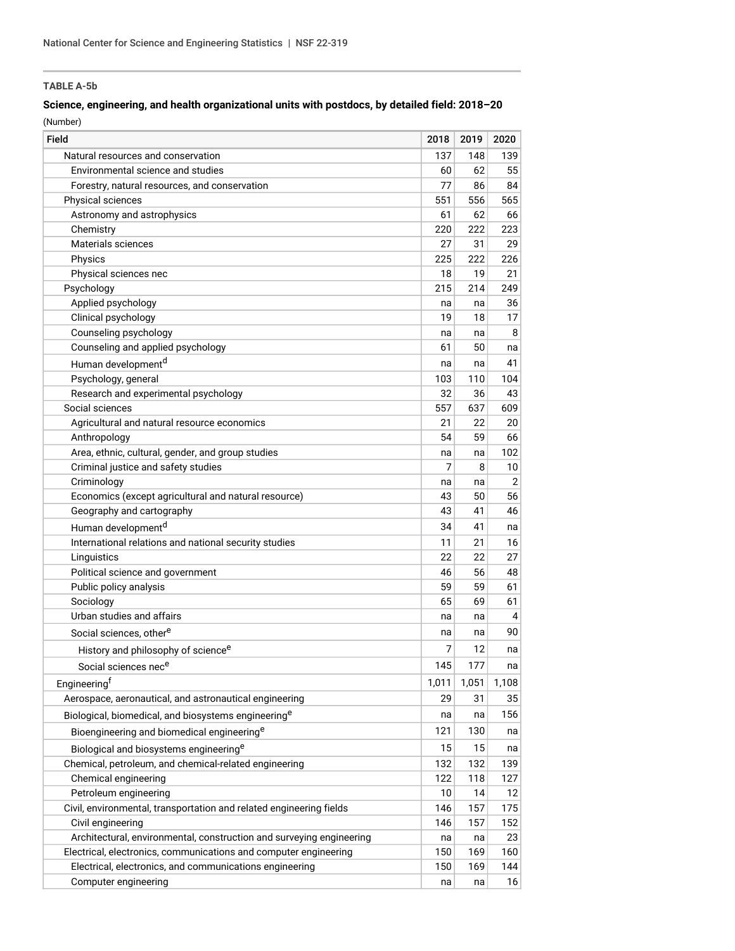## **TABLE A-5b**

### **Science, engineering, and health organizational units with postdocs, by detailed field: 2018–20**

(Number)

| Field                                                                | 2018  | 2019  | 2020           |
|----------------------------------------------------------------------|-------|-------|----------------|
| Natural resources and conservation                                   | 137   | 148   | 139            |
| Environmental science and studies                                    | 60    | 62    | 55             |
| Forestry, natural resources, and conservation                        | 77    | 86    | 84             |
| Physical sciences                                                    | 551   | 556   | 565            |
| Astronomy and astrophysics                                           | 61    | 62    | 66             |
| Chemistry                                                            | 220   | 222   | 223            |
| Materials sciences                                                   | 27    | 31    | 29             |
| Physics                                                              | 225   | 222   | 226            |
| Physical sciences nec                                                | 18    | 19    | 21             |
| Psychology                                                           | 215   | 214   | 249            |
| Applied psychology                                                   | na    | na    | 36             |
| Clinical psychology                                                  | 19    | 18    | 17             |
| Counseling psychology                                                | na    | na    | 8              |
| Counseling and applied psychology                                    | 61    | 50    | na             |
| Human development <sup>d</sup>                                       | na    | na    | 41             |
| Psychology, general                                                  | 103   | 110   | 104            |
| Research and experimental psychology                                 | 32    | 36    | 43             |
| Social sciences                                                      | 557   | 637   | 609            |
| Agricultural and natural resource economics                          | 21    | 22    | 20             |
| Anthropology                                                         | 54    | 59    | 66             |
| Area, ethnic, cultural, gender, and group studies                    | na    | na    | 102            |
| Criminal justice and safety studies                                  | 7     | 8     | 10             |
| Criminology                                                          | na    | na    | $\overline{2}$ |
| Economics (except agricultural and natural resource)                 | 43    | 50    | 56             |
| Geography and cartography                                            | 43    | 41    | 46             |
| Human development <sup>d</sup>                                       | 34    | 41    | na             |
| International relations and national security studies                | 11    | 21    | 16             |
| Linguistics                                                          | 22    | 22    | 27             |
| Political science and government                                     | 46    | 56    | 48             |
| Public policy analysis                                               | 59    | 59    | 61             |
| Sociology                                                            | 65    | 69    | 61             |
| Urban studies and affairs                                            | na    | na    | 4              |
| Social sciences, other <sup>e</sup>                                  | na    | na    | 90             |
| History and philosophy of science <sup>e</sup>                       | 7     | 12    | na             |
| Social sciences nece                                                 | 145   | 177   | na             |
| Engineeringf                                                         | 1,011 | 1,051 | 1,108          |
| Aerospace, aeronautical, and astronautical engineering               | 29    | 31    | 35             |
|                                                                      |       |       | 156            |
| Biological, biomedical, and biosystems engineering <sup>e</sup>      | na    | na    |                |
| Bioengineering and biomedical engineering <sup>e</sup>               | 121   | 130   | na             |
| Biological and biosystems engineering <sup>e</sup>                   | 15    | 15    | na             |
| Chemical, petroleum, and chemical-related engineering                | 132   | 132   | 139            |
| Chemical engineering                                                 | 122   | 118   | 127            |
| Petroleum engineering                                                | 10    | 14    | 12             |
| Civil, environmental, transportation and related engineering fields  | 146   | 157   | 175            |
| Civil engineering                                                    | 146   | 157   | 152            |
| Architectural, environmental, construction and surveying engineering | na    | na    | 23             |
| Electrical, electronics, communications and computer engineering     | 150   | 169   | 160            |
| Electrical, electronics, and communications engineering              | 150   | 169   | 144            |
| Computer engineering                                                 | na    | na    | 16             |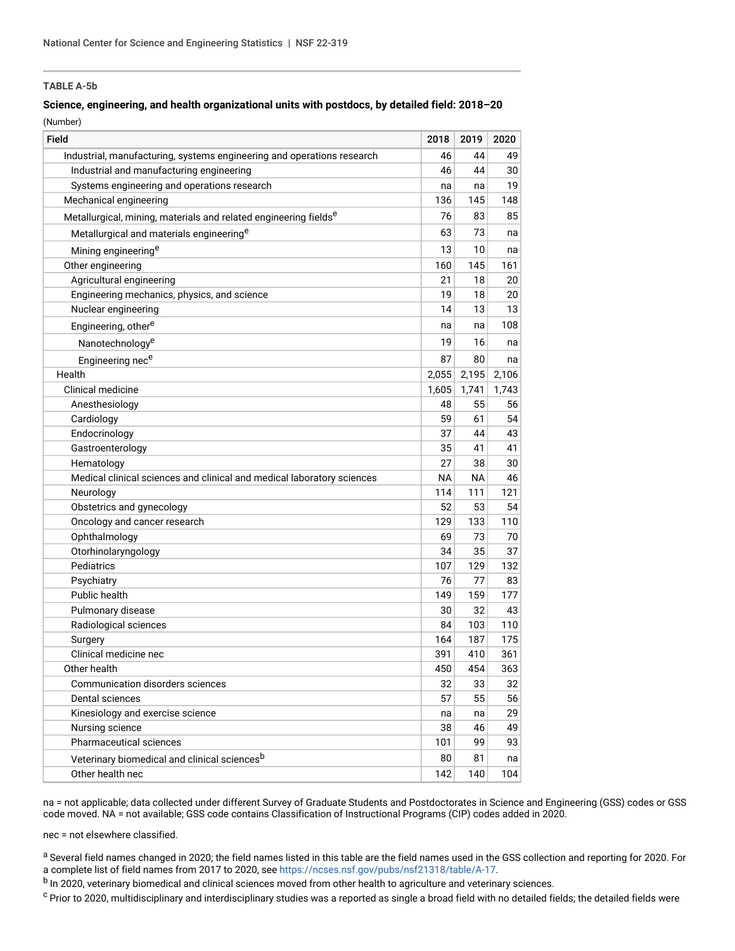### **TABLE A-5b**

## **Science, engineering, and health organizational units with postdocs, by detailed field: 2018–20**

(Number)

| Field                                                                        | 2018      | 2019  | 2020  |
|------------------------------------------------------------------------------|-----------|-------|-------|
| Industrial, manufacturing, systems engineering and operations research       | 46        | 44    | 49    |
| Industrial and manufacturing engineering                                     | 46        | 44    | 30    |
| Systems engineering and operations research                                  | na        | na    | 19    |
| Mechanical engineering                                                       | 136       | 145   | 148   |
| Metallurgical, mining, materials and related engineering fields <sup>e</sup> | 76        | 83    | 85    |
| Metallurgical and materials engineering <sup>e</sup>                         | 63        | 73    | na    |
| Mining engineering <sup>e</sup>                                              | 13        | 10    | na    |
| Other engineering                                                            | 160       | 145   | 161   |
| Agricultural engineering                                                     | 21        | 18    | 20    |
| Engineering mechanics, physics, and science                                  | 19        | 18    | 20    |
| Nuclear engineering                                                          | 14        | 13    | 13    |
| Engineering, other <sup>e</sup>                                              | na        | na    | 108   |
| Nanotechnology <sup>e</sup>                                                  | 19        | 16    | na    |
| Engineering nece                                                             | 87        | 80    | na    |
| Health                                                                       | 2,055     | 2,195 | 2,106 |
| Clinical medicine                                                            | 1,605     | 1,741 | 1,743 |
| Anesthesiology                                                               | 48        | 55    | 56    |
| Cardiology                                                                   | 59        | 61    | 54    |
| Endocrinology                                                                | 37        | 44    | 43    |
| Gastroenterology                                                             | 35        | 41    | 41    |
| Hematology                                                                   | 27        | 38    | 30    |
| Medical clinical sciences and clinical and medical laboratory sciences       | <b>NA</b> | NA    | 46    |
| Neurology                                                                    | 114       | 111   | 121   |
| Obstetrics and gynecology                                                    | 52        | 53    | 54    |
| Oncology and cancer research                                                 | 129       | 133   | 110   |
| Ophthalmology                                                                | 69        | 73    | 70    |
| Otorhinolaryngology                                                          | 34        | 35    | 37    |
| Pediatrics                                                                   | 107       | 129   | 132   |
| Psychiatry                                                                   | 76        | 77    | 83    |
| Public health                                                                | 149       | 159   | 177   |
| Pulmonary disease                                                            | 30        | 32    | 43    |
| Radiological sciences                                                        | 84        | 103   | 110   |
| Surgery                                                                      | 164       | 187   | 175   |
| Clinical medicine nec                                                        | 391       | 410   | 361   |
| Other health                                                                 | 450       | 454   | 363   |
| <b>Communication disorders sciences</b>                                      | 32        | 33    | 32    |
| Dental sciences                                                              | 57        | 55    | 56    |
| Kinesiology and exercise science                                             | na        | na    | 29    |
| Nursing science                                                              | 38        | 46    | 49    |
| Pharmaceutical sciences                                                      | 101       | 99    | 93    |
| Veterinary biomedical and clinical sciences <sup>b</sup>                     | 80        | 81    | na    |
| Other health nec                                                             | 142       | 140   | 104   |

na = not applicable; data collected under different Survey of Graduate Students and Postdoctorates in Science and Engineering (GSS) codes or GSS code moved. NA = not available; GSS code contains Classification of Instructional Programs (CIP) codes added in 2020.

nec = not elsewhere classified.

a Several field names changed in 2020; the field names listed in this table are the field names used in the GSS collection and reporting for 2020. For a complete list of field names from 2017 to 2020, see<https://ncses.nsf.gov/pubs/nsf21318/table/A-17>.

b In 2020, veterinary biomedical and clinical sciences moved from other health to agriculture and veterinary sciences.

<sup>c</sup> Prior to 2020, multidisciplinary and interdisciplinary studies was a reported as single a broad field with no detailed fields; the detailed fields were